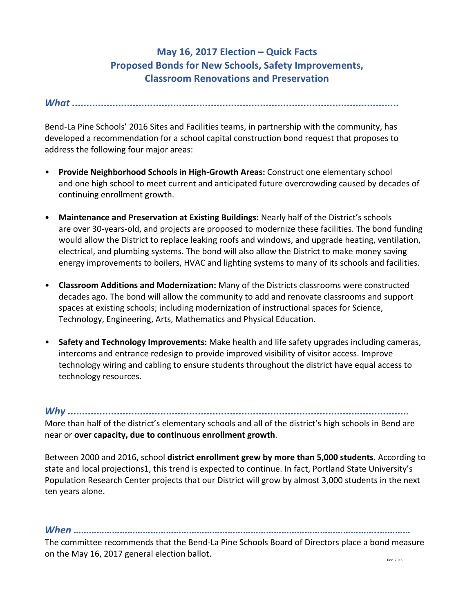## **May 16, 2017 Election – Quick Facts Proposed Bonds for New Schools, Safety Improvements, Classroom Renovations and Preservation**

*What .................................................................................................................*

Bend-La Pine Schools' 2016 Sites and Facilities teams, in partnership with the community, has developed a recommendation for a school capital construction bond request that proposes to address the following four major areas:

- **Provide Neighborhood Schools in High-Growth Areas:** Construct one elementary school and one high school to meet current and anticipated future overcrowding caused by decades of continuing enrollment growth.
- Maintenance and Preservation at Existing Buildings: Nearly half of the District's schools are over 30-years-old, and projects are proposed to modernize these facilities. The bond funding would allow the District to replace leaking roofs and windows, and upgrade heating, ventilation, electrical, and plumbing systems. The bond will also allow the District to make money saving energy improvements to boilers, HVAC and lighting systems to many of its schools and facilities.
- **Classroom Additions and Modernization:** Many of the Districts classrooms were constructed decades ago. The bond will allow the community to add and renovate classrooms and support spaces at existing schools; including modernization of instructional spaces for Science, Technology, Engineering, Arts, Mathematics and Physical Education.
- **Safety and Technology Improvements:** Make health and life safety upgrades including cameras, intercoms and entrance redesign to provide improved visibility of visitor access. Improve technology wiring and cabling to ensure students throughout the district have equal access to technology resources.

*Why ......................................................................................................................*

More than half of the district's elementary schools and all of the district's high schools in Bend are near or **over capacity, due to continuous enrollment growth**.

Between 2000 and 2016, school **district enrollment grew by more than 5,000 students**. According to state and local projections1, this trend is expected to continue. In fact, Portland State University's Population Research Center projects that our District will grow by almost 3,000 students in the next ten years alone.

*When ………………………………………………………………………………………………………..…………*

The committee recommends that the Bend-La Pine Schools Board of Directors place a bond measure on the May 16, 2017 general election ballot. Dec. 2016